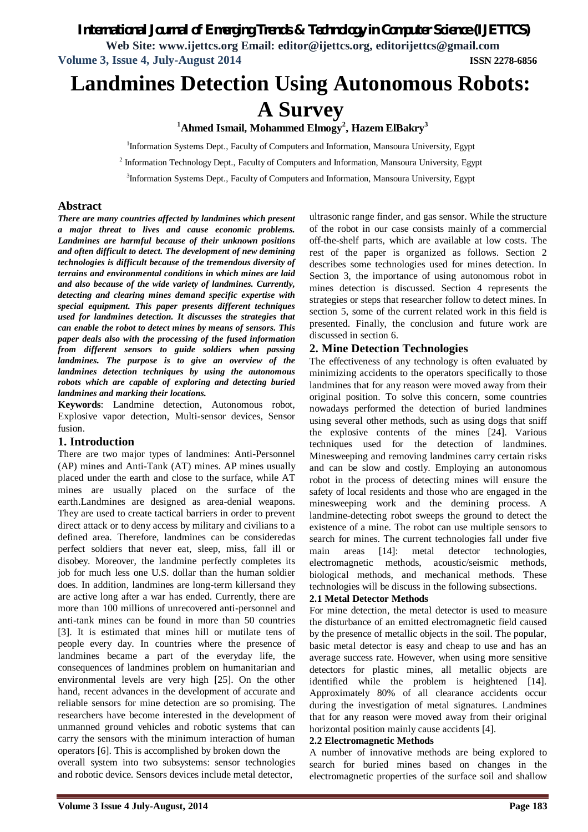## *International Journal of Emerging Trends & Technology in Computer Science (IJETTCS)*

**Web Site: www.ijettcs.org Email: editor@ijettcs.org, editorijettcs@gmail.com Volume 3, Issue 4, July-August 2014 ISSN 2278-6856**

# **Landmines Detection Using Autonomous Robots:**

## **A Survey**

**<sup>1</sup>Ahmed Ismail, Mohammed Elmogy<sup>2</sup> , Hazem ElBakry<sup>3</sup>**

<sup>1</sup>Information Systems Dept., Faculty of Computers and Information, Mansoura University, Egypt

 $2$  Information Technology Dept., Faculty of Computers and Information, Mansoura University, Egypt

<sup>3</sup>Information Systems Dept., Faculty of Computers and Information, Mansoura University, Egypt

#### **Abstract**

*There are many countries affected by landmines which present a major threat to lives and cause economic problems. Landmines are harmful because of their unknown positions and often difficult to detect. The development of new demining technologies is difficult because of the tremendous diversity of terrains and environmental conditions in which mines are laid and also because of the wide variety of landmines. Currently, detecting and clearing mines demand specific expertise with special equipment. This paper presents different techniques used for landmines detection. It discusses the strategies that can enable the robot to detect mines by means of sensors. This paper deals also with the processing of the fused information from different sensors to guide soldiers when passing landmines. The purpose is to give an overview of the landmines detection techniques by using the autonomous robots which are capable of exploring and detecting buried landmines and marking their locations.* 

**Keywords**: Landmine detection, Autonomous robot, Explosive vapor detection, Multi-sensor devices, Sensor fusion.

#### **1. Introduction**

There are two major types of landmines: Anti-Personnel (AP) mines and Anti-Tank (AT) mines. AP mines usually placed under the earth and close to the surface, while AT mines are usually placed on the surface of the earth.Landmines are designed as area-denial weapons. They are used to create tactical barriers in order to prevent direct attack or to deny access by military and civilians to a defined area. Therefore, landmines can be consideredas perfect soldiers that never eat, sleep, miss, fall ill or disobey. Moreover, the landmine perfectly completes its job for much less one U.S. dollar than the human soldier does. In addition, landmines are long-term killersand they are active long after a war has ended. Currently, there are more than 100 millions of unrecovered anti-personnel and anti-tank mines can be found in more than 50 countries [3]. It is estimated that mines hill or mutilate tens of people every day. In countries where the presence of landmines became a part of the everyday life, the consequences of landmines problem on humanitarian and environmental levels are very high [25]. On the other hand, recent advances in the development of accurate and reliable sensors for mine detection are so promising. The researchers have become interested in the development of unmanned ground vehicles and robotic systems that can carry the sensors with the minimum interaction of human operators [6]. This is accomplished by broken down the

overall system into two subsystems: sensor technologies and robotic device. Sensors devices include metal detector,

ultrasonic range finder, and gas sensor. While the structure of the robot in our case consists mainly of a commercial off-the-shelf parts, which are available at low costs. The rest of the paper is organized as follows. Section 2 describes some technologies used for mines detection. In Section 3, the importance of using autonomous robot in mines detection is discussed. Section 4 represents the strategies or steps that researcher follow to detect mines. In section 5, some of the current related work in this field is presented. Finally, the conclusion and future work are discussed in section 6.

#### **2. Mine Detection Technologies**

The effectiveness of any technology is often evaluated by minimizing accidents to the operators specifically to those landmines that for any reason were moved away from their original position. To solve this concern, some countries nowadays performed the detection of buried landmines using several other methods, such as using dogs that sniff the explosive contents of the mines [24]. Various techniques used for the detection of landmines. Minesweeping and removing landmines carry certain risks and can be slow and costly. Employing an autonomous robot in the process of detecting mines will ensure the safety of local residents and those who are engaged in the minesweeping work and the demining process. A landmine-detecting robot sweeps the ground to detect the existence of a mine. The robot can use multiple sensors to search for mines. The current technologies fall under five main areas [14]: metal detector technologies, electromagnetic methods, acoustic/seismic methods, biological methods, and mechanical methods. These technologies will be discuss in the following subsections.

#### **2.1 Metal Detector Methods**

For mine detection, the metal detector is used to measure the disturbance of an emitted electromagnetic field caused by the presence of metallic objects in the soil. The popular, basic metal detector is easy and cheap to use and has an average success rate. However, when using more sensitive detectors for plastic mines, all metallic objects are identified while the problem is heightened [14]. Approximately 80% of all clearance accidents occur during the investigation of metal signatures. Landmines that for any reason were moved away from their original horizontal position mainly cause accidents [4].

#### **2.2 Electromagnetic Methods**

A number of innovative methods are being explored to search for buried mines based on changes in the electromagnetic properties of the surface soil and shallow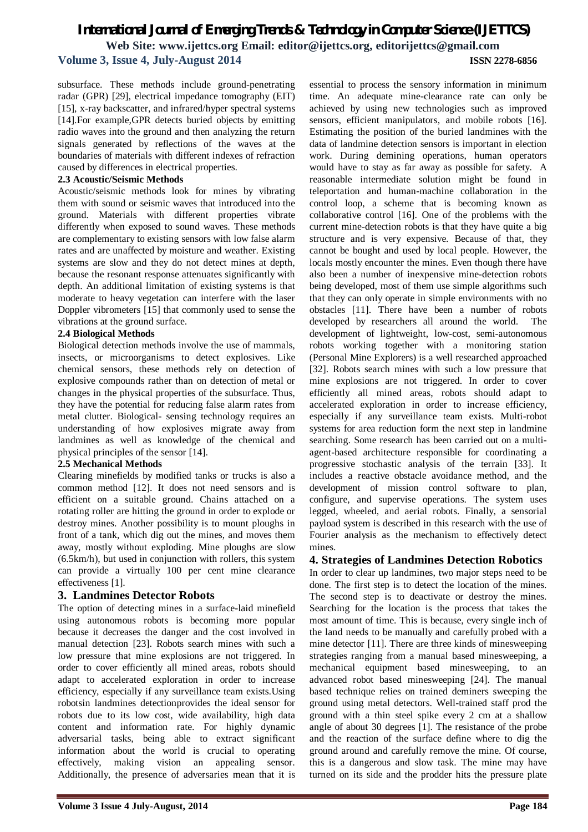subsurface. These methods include ground-penetrating radar (GPR) [29], electrical impedance tomography (EIT) [15], x-ray backscatter, and infrared/hyper spectral systems [14].For example,GPR detects buried objects by emitting radio waves into the ground and then analyzing the return signals generated by reflections of the waves at the boundaries of materials with different indexes of refraction caused by differences in electrical properties.

#### **2.3 Acoustic/Seismic Methods**

Acoustic/seismic methods look for mines by vibrating them with sound or seismic waves that introduced into the ground. Materials with different properties vibrate differently when exposed to sound waves. These methods are complementary to existing sensors with low false alarm rates and are unaffected by moisture and weather. Existing systems are slow and they do not detect mines at depth, because the resonant response attenuates significantly with depth. An additional limitation of existing systems is that moderate to heavy vegetation can interfere with the laser Doppler vibrometers [15] that commonly used to sense the vibrations at the ground surface.

#### **2.4 Biological Methods**

Biological detection methods involve the use of mammals, insects, or microorganisms to detect explosives. Like chemical sensors, these methods rely on detection of explosive compounds rather than on detection of metal or changes in the physical properties of the subsurface. Thus, they have the potential for reducing false alarm rates from metal clutter. Biological- sensing technology requires an understanding of how explosives migrate away from landmines as well as knowledge of the chemical and physical principles of the sensor [14].

#### **2.5 Mechanical Methods**

Clearing minefields by modified tanks or trucks is also a common method [12]. It does not need sensors and is efficient on a suitable ground. Chains attached on a rotating roller are hitting the ground in order to explode or destroy mines. Another possibility is to mount ploughs in front of a tank, which dig out the mines, and moves them away, mostly without exploding. Mine ploughs are slow (6.5km/h), but used in conjunction with rollers, this system can provide a virtually 100 per cent mine clearance effectiveness [1].

#### **3. Landmines Detector Robots**

The option of detecting mines in a surface-laid minefield using autonomous robots is becoming more popular because it decreases the danger and the cost involved in manual detection [23]. Robots search mines with such a low pressure that mine explosions are not triggered. In order to cover efficiently all mined areas, robots should adapt to accelerated exploration in order to increase efficiency, especially if any surveillance team exists.Using robotsin landmines detectionprovides the ideal sensor for robots due to its low cost, wide availability, high data content and information rate. For highly dynamic adversarial tasks, being able to extract significant information about the world is crucial to operating effectively, making vision an appealing sensor. Additionally, the presence of adversaries mean that it is time. An adequate mine-clearance rate can only be achieved by using new technologies such as improved sensors, efficient manipulators, and mobile robots [16]. Estimating the position of the buried landmines with the data of landmine detection sensors is important in election work. During demining operations, human operators would have to stay as far away as possible for safety. A reasonable intermediate solution might be found in teleportation and human-machine collaboration in the control loop, a scheme that is becoming known as collaborative control [16]. One of the problems with the current mine-detection robots is that they have quite a big structure and is very expensive. Because of that, they cannot be bought and used by local people. However, the locals mostly encounter the mines. Even though there have also been a number of inexpensive mine-detection robots being developed, most of them use simple algorithms such that they can only operate in simple environments with no obstacles [11]. There have been a number of robots developed by researchers all around the world. The development of lightweight, low-cost, semi-autonomous robots working together with a monitoring station (Personal Mine Explorers) is a well researched approached [32]. Robots search mines with such a low pressure that mine explosions are not triggered. In order to cover efficiently all mined areas, robots should adapt to accelerated exploration in order to increase efficiency, especially if any surveillance team exists. Multi-robot systems for area reduction form the next step in landmine searching. Some research has been carried out on a multiagent-based architecture responsible for coordinating a progressive stochastic analysis of the terrain [33]. It includes a reactive obstacle avoidance method, and the development of mission control software to plan, configure, and supervise operations. The system uses legged, wheeled, and aerial robots. Finally, a sensorial payload system is described in this research with the use of Fourier analysis as the mechanism to effectively detect mines.

essential to process the sensory information in minimum

#### **4. Strategies of Landmines Detection Robotics**

In order to clear up landmines, two major steps need to be done. The first step is to detect the location of the mines. The second step is to deactivate or destroy the mines. Searching for the location is the process that takes the most amount of time. This is because, every single inch of the land needs to be manually and carefully probed with a mine detector [11]. There are three kinds of minesweeping strategies ranging from a manual based minesweeping, a mechanical equipment based minesweeping, to an advanced robot based minesweeping [24]. The manual based technique relies on trained deminers sweeping the ground using metal detectors. Well-trained staff prod the ground with a thin steel spike every 2 cm at a shallow angle of about 30 degrees [1]. The resistance of the probe and the reaction of the surface define where to dig the ground around and carefully remove the mine. Of course, this is a dangerous and slow task. The mine may have turned on its side and the prodder hits the pressure plate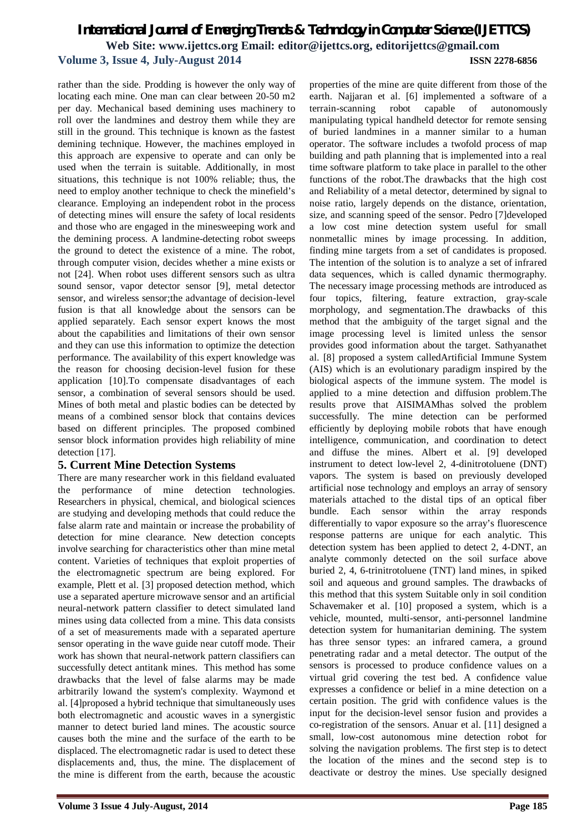rather than the side. Prodding is however the only way of locating each mine. One man can clear between 20-50 m2 per day. Mechanical based demining uses machinery to roll over the landmines and destroy them while they are still in the ground. This technique is known as the fastest demining technique. However, the machines employed in this approach are expensive to operate and can only be used when the terrain is suitable. Additionally, in most situations, this technique is not 100% reliable; thus, the need to employ another technique to check the minefield's clearance. Employing an independent robot in the process of detecting mines will ensure the safety of local residents and those who are engaged in the minesweeping work and the demining process. A landmine-detecting robot sweeps the ground to detect the existence of a mine. The robot, through computer vision, decides whether a mine exists or not [24]. When robot uses different sensors such as ultra sound sensor, vapor detector sensor [9], metal detector sensor, and wireless sensor;the advantage of decision-level fusion is that all knowledge about the sensors can be applied separately. Each sensor expert knows the most about the capabilities and limitations of their own sensor and they can use this information to optimize the detection performance. The availability of this expert knowledge was the reason for choosing decision-level fusion for these application [10].To compensate disadvantages of each sensor, a combination of several sensors should be used. Mines of both metal and plastic bodies can be detected by means of a combined sensor block that contains devices based on different principles. The proposed combined sensor block information provides high reliability of mine detection [17].

#### **5. Current Mine Detection Systems**

There are many researcher work in this fieldand evaluated the performance of mine detection technologies. Researchers in physical, chemical, and biological sciences are studying and developing methods that could reduce the false alarm rate and maintain or increase the probability of detection for mine clearance. New detection concepts involve searching for characteristics other than mine metal content. Varieties of techniques that exploit properties of the electromagnetic spectrum are being explored. For example, Plett et al. [3] proposed detection method, which use a separated aperture microwave sensor and an artificial neural-network pattern classifier to detect simulated land mines using data collected from a mine. This data consists of a set of measurements made with a separated aperture sensor operating in the wave guide near cutoff mode. Their work has shown that neural-network pattern classifiers can successfully detect antitank mines. This method has some drawbacks that the level of false alarms may be made arbitrarily lowand the system's complexity. Waymond et al. [4]proposed a hybrid technique that simultaneously uses both electromagnetic and acoustic waves in a synergistic manner to detect buried land mines. The acoustic source causes both the mine and the surface of the earth to be displaced. The electromagnetic radar is used to detect these displacements and, thus, the mine. The displacement of the mine is different from the earth, because the acoustic

earth. Najjaran et al. [6] implemented a software of a terrain-scanning robot capable of autonomously manipulating typical handheld detector for remote sensing of buried landmines in a manner similar to a human operator. The software includes a twofold process of map building and path planning that is implemented into a real time software platform to take place in parallel to the other functions of the robot.The drawbacks that the high cost and Reliability of a metal detector, determined by signal to noise ratio, largely depends on the distance, orientation, size, and scanning speed of the sensor. Pedro [7]developed a low cost mine detection system useful for small nonmetallic mines by image processing. In addition, finding mine targets from a set of candidates is proposed. The intention of the solution is to analyze a set of infrared data sequences, which is called dynamic thermography. The necessary image processing methods are introduced as four topics, filtering, feature extraction, gray-scale morphology, and segmentation.The drawbacks of this method that the ambiguity of the target signal and the image processing level is limited unless the sensor provides good information about the target. Sathyanathet al. [8] proposed a system calledArtificial Immune System (AIS) which is an evolutionary paradigm inspired by the biological aspects of the immune system. The model is applied to a mine detection and diffusion problem.The results prove that AISIMAMhas solved the problem successfully. The mine detection can be performed efficiently by deploying mobile robots that have enough intelligence, communication, and coordination to detect and diffuse the mines. Albert et al. [9] developed instrument to detect low-level 2, 4-dinitrotoluene (DNT) vapors. The system is based on previously developed artificial nose technology and employs an array of sensory materials attached to the distal tips of an optical fiber bundle. Each sensor within the array responds differentially to vapor exposure so the array's fluorescence response patterns are unique for each analytic. This detection system has been applied to detect 2, 4-DNT, an analyte commonly detected on the soil surface above buried 2, 4, 6-trinitrotoluene (TNT) land mines, in spiked soil and aqueous and ground samples. The drawbacks of this method that this system Suitable only in soil condition Schavemaker et al. [10] proposed a system, which is a vehicle, mounted, multi-sensor, anti-personnel landmine detection system for humanitarian demining. The system has three sensor types: an infrared camera, a ground penetrating radar and a metal detector. The output of the sensors is processed to produce confidence values on a virtual grid covering the test bed. A confidence value expresses a confidence or belief in a mine detection on a certain position. The grid with confidence values is the input for the decision-level sensor fusion and provides a co-registration of the sensors. Anuar et al. [11] designed a small, low-cost autonomous mine detection robot for solving the navigation problems. The first step is to detect the location of the mines and the second step is to deactivate or destroy the mines. Use specially designed

properties of the mine are quite different from those of the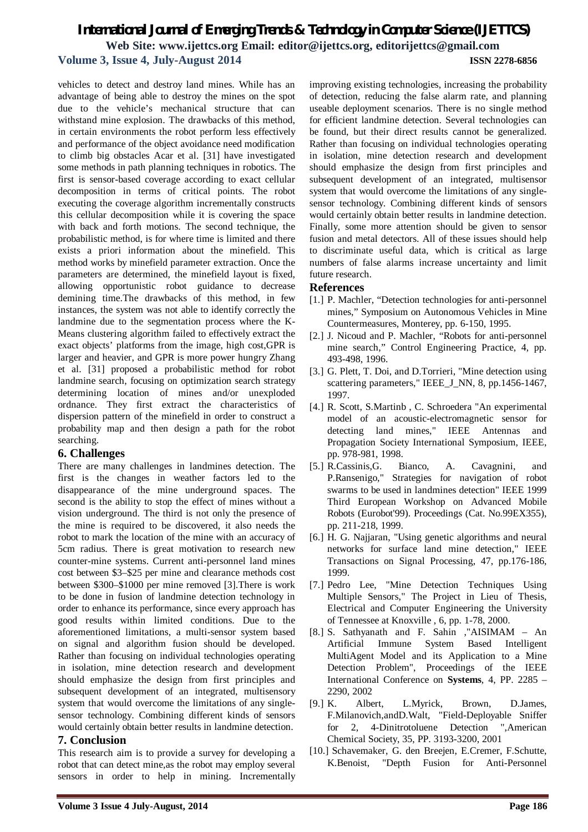vehicles to detect and destroy land mines. While has an advantage of being able to destroy the mines on the spot due to the vehicle's mechanical structure that can withstand mine explosion. The drawbacks of this method, in certain environments the robot perform less effectively and performance of the object avoidance need modification to climb big obstacles Acar et al. [31] have investigated some methods in path planning techniques in robotics. The first is sensor-based coverage according to exact cellular decomposition in terms of critical points. The robot executing the coverage algorithm incrementally constructs this cellular decomposition while it is covering the space with back and forth motions. The second technique, the probabilistic method, is for where time is limited and there exists a priori information about the minefield. This method works by minefield parameter extraction. Once the parameters are determined, the minefield layout is fixed, allowing opportunistic robot guidance to decrease demining time.The drawbacks of this method, in few instances, the system was not able to identify correctly the landmine due to the segmentation process where the K-Means clustering algorithm failed to effectively extract the exact objects' platforms from the image, high cost,GPR is larger and heavier, and GPR is more power hungry Zhang et al. [31] proposed a probabilistic method for robot landmine search, focusing on optimization search strategy determining location of mines and/or unexploded ordnance. They first extract the characteristics of dispersion pattern of the minefield in order to construct a probability map and then design a path for the robot searching.

#### **6. Challenges**

There are many challenges in landmines detection. The first is the changes in weather factors led to the disappearance of the mine underground spaces. The second is the ability to stop the effect of mines without a vision underground. The third is not only the presence of the mine is required to be discovered, it also needs the robot to mark the location of the mine with an accuracy of 5cm radius. There is great motivation to research new counter-mine systems. Current anti-personnel land mines cost between \$3–\$25 per mine and clearance methods cost between \$300–\$1000 per mine removed [3].There is work to be done in fusion of landmine detection technology in order to enhance its performance, since every approach has good results within limited conditions. Due to the aforementioned limitations, a multi-sensor system based on signal and algorithm fusion should be developed. Rather than focusing on individual technologies operating in isolation, mine detection research and development should emphasize the design from first principles and subsequent development of an integrated, multisensory system that would overcome the limitations of any singlesensor technology. Combining different kinds of sensors would certainly obtain better results in landmine detection.

#### **7. Conclusion**

This research aim is to provide a survey for developing a robot that can detect mine,as the robot may employ several sensors in order to help in mining. Incrementally

improving existing technologies, increasing the probability of detection, reducing the false alarm rate, and planning useable deployment scenarios. There is no single method for efficient landmine detection. Several technologies can be found, but their direct results cannot be generalized. Rather than focusing on individual technologies operating in isolation, mine detection research and development should emphasize the design from first principles and subsequent development of an integrated, multisensor system that would overcome the limitations of any singlesensor technology. Combining different kinds of sensors would certainly obtain better results in landmine detection. Finally, some more attention should be given to sensor fusion and metal detectors. All of these issues should help to discriminate useful data, which is critical as large numbers of false alarms increase uncertainty and limit future research.

#### **References**

- [1.] P. Machler, "Detection technologies for anti-personnel mines," Symposium on Autonomous Vehicles in Mine Countermeasures, Monterey, pp. 6-150, 1995.
- [2.] J. Nicoud and P. Machler, "Robots for anti-personnel mine search," Control Engineering Practice, 4, pp. 493-498, 1996.
- [3.] G. Plett, T. Doi, and D.Torrieri, "Mine detection using scattering parameters," IEEE\_J\_NN, 8, pp.1456-1467, 1997.
- [4.] R. Scott, S.Martinb , C. Schroedera "An experimental model of an acoustic-electromagnetic sensor for detecting land mines," IEEE Antennas and Propagation Society International Symposium, IEEE, pp. 978-981, 1998.
- [5.] R.Cassinis,G. Bianco, A. Cavagnini, and P.Ransenigo," Strategies for navigation of robot swarms to be used in landmines detection" IEEE 1999 Third European Workshop on Advanced Mobile Robots (Eurobot'99). Proceedings (Cat. No.99EX355), pp. 211-218, 1999.
- [6.] H. G. Najjaran, "Using genetic algorithms and neural networks for surface land mine detection," IEEE Transactions on Signal Processing, 47, pp.176-186, 1999.
- [7.] Pedro Lee, "Mine Detection Techniques Using Multiple Sensors," The Project in Lieu of Thesis, Electrical and Computer Engineering the University of Tennessee at Knoxville , 6, pp. 1-78, 2000.
- [8.] S. Sathyanath and F. Sahin ,"AISIMAM An Artificial Immune System Based Intelligent MultiAgent Model and its Application to a Mine Detection Problem", Proceedings of the IEEE International Conference on **Systems**, 4, PP. 2285 – 2290, 2002
- [9.] K. Albert, L.Myrick, Brown, D.James, F.Milanovich,andD.Walt, "Field-Deployable Sniffer for 2, 4-Dinitrotoluene Detection ",American Chemical Society, 35, PP. 3193-3200, 2001
- [10.] Schavemaker, G. den Breejen, E.Cremer, F.Schutte, K.Benoist, "Depth Fusion for Anti-Personnel